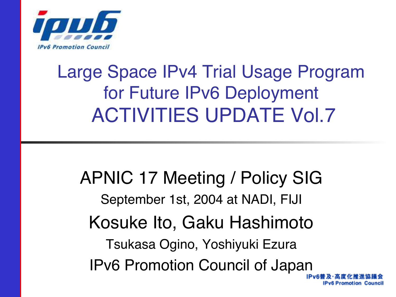

### Large Space IPv4 Trial Usage Program for Future IPv6 Deployment ACTIVITIES UPDATE Vol.7

APNIC 17 Meeting / Policy SIG September 1st, 2004 at NADI, FIJI Kosuke Ito, Gaku Hashimoto Tsukasa Ogino, Yoshiyuki Ezura IPv6 Promotion Council of JapanIPv6 Promotion Council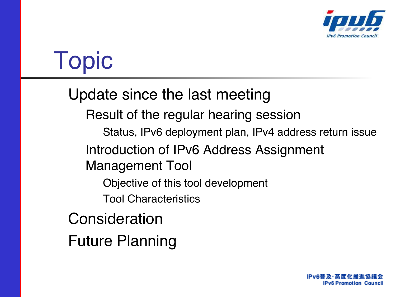

## Topic

#### Update since the last meeting

Result of the regular hearing session

Status, IPv6 deployment plan, IPv4 address return issue

Introduction of IPv6 Address Assignment

Management Tool

Objective of this tool development

Tool Characteristics

Consideration

Future Planning

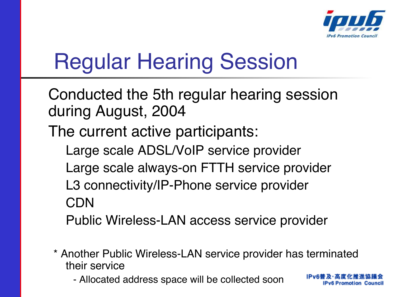

IPv6 Promotion Council

## Regular Hearing Session

Conducted the 5th regular hearing session during August, 2004 The current active participants: Large scale ADSL/VoIP service provider Large scale always-on FTTH service provider L3 connectivity/IP-Phone service provider CDN Public Wireless-LAN access service provider

- \* Another Public Wireless-LAN service provider has terminated their service
	- Allocated address space will be collected soon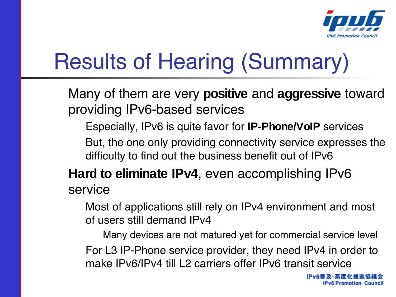

## Results of Hearing (Summary)

Many of them are very **positive** and **aggressive** toward providing IPv6-based services

Especially, IPv6 is quite favor for **IP-Phone/VoIP** services

But, the one only providing connectivity service expresses the difficulty to find out the business benefit out of IPv6

**Hard to eliminate IPv4**, even accomplishing IPv6 service

Most of applications still rely on IPv4 environment and most of users still demand IPv4

Many devices are not matured yet for commercial service level For L3 IP-Phone service provider, they need IPv4 in order to make IPv6/IPv4 till L2 carriers offer IPv6 transit service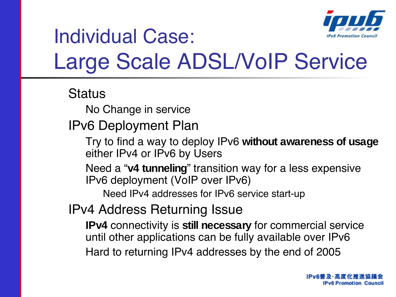

### Individual Case: Large Scale ADSL/VoIP Service

#### **Status**

No Change in service

IPv6 Deployment Plan

Try to find a way to deploy IPv6 **without awareness of usage** either IPv4 or IPv6 by Users

Need a "**v4 tunneling**" transition way for a less expensive IPv6 deployment (VoIP over IPv6)

Need IPv4 addresses for IPv6 service start-up

IPv4 Address Returning Issue

**IPv4** connectivity is **still necessary** for commercial service until other applications can be fully available over IPv6 Hard to returning IPv4 addresses by the end of 2005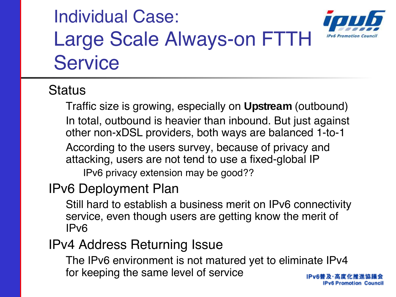### Individual Case: Large Scale Always-on FTTH **Service**



**IPv6 Promotion Council** 

#### **Status**

Traffic size is growing, especially on **Upstream** (outbound) In total, outbound is heavier than inbound. But just against other non-xDSL providers, both ways are balanced 1-to-1 According to the users survey, because of privacy and attacking, users are not tend to use a fixed-global IP IPv6 privacy extension may be good??

#### IPv6 Deployment Plan

Still hard to establish a business merit on IPv6 connectivity service, even though users are getting know the merit of IPv6

#### IPv4 Address Returning Issue

The IPv6 environment is not matured yet to eliminate IPv4 for keeping the same level of service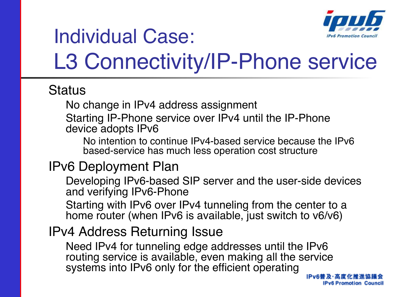

### Individual Case: L3 Connectivity/IP-Phone service

#### **Status**

No change in IPv4 address assignment

Starting IP-Phone service over IPv4 until the IP-Phone device adopts IPv6

No intention to continue IPv4-based service because the IPv6 based-service has much less operation cost structure

#### IPv6 Deployment Plan

Developing IPv6-based SIP server and the user-side devices and verifying IPv6-Phone

Starting with IPv6 over IPv4 tunneling from the center to a home router (when IPv6 is available, just switch to v6/v6)

#### IPv4 Address Returning Issue

Need IPv4 for tunneling edge addresses until the IPv6 routing service is available, even making all the service systems into IPv6 only for the efficient operating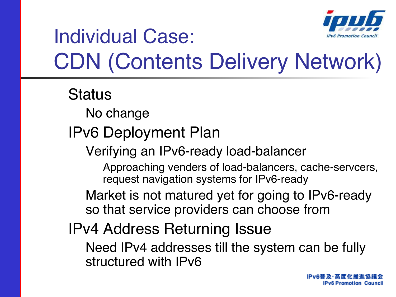

### Individual Case: CDN (Contents Delivery Network)

**Status** No change IPv6 Deployment Plan Verifying an IPv6-ready load-balancer Approaching venders of load-balancers, cache-servcers, request navigation systems for IPv6-ready Market is not matured yet for going to IPv6-ready so that service providers can choose from IPv4 Address Returning Issue Need IPv4 addresses till the system can be fully structured with IPv6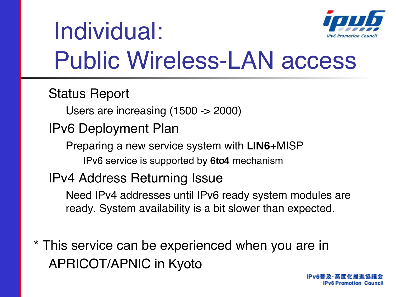

## Individual: Public Wireless-LAN access

Status Report

Users are increasing (1500 -> 2000)

IPv6 Deployment Plan

Preparing a new service system with **LIN6**+MISP IPv6 service is supported by **6to4** mechanism

IPv4 Address Returning Issue

Need IPv4 addresses until IPv6 ready system modules are ready. System availability is a bit slower than expected.

\* This service can be experienced when you are in APRICOT/APNIC in Kyoto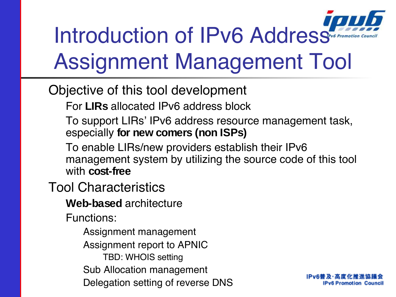# Introduction of IPv6 Address Assignment Management Tool

#### Objective of this tool development

For **LIRs** allocated IPv6 address block

To support LIRs' IPv6 address resource management task, especially **for new comers (non ISPs)**

To enable LIRs/new providers establish their IPv6 management system by utilizing the source code of this tool with **cost-free**

Tool Characteristics

**Web-based** architecture

Functions:

Assignment management Assignment report to APNIC TBD: WHOIS setting Sub Allocation management Delegation setting of reverse DNS

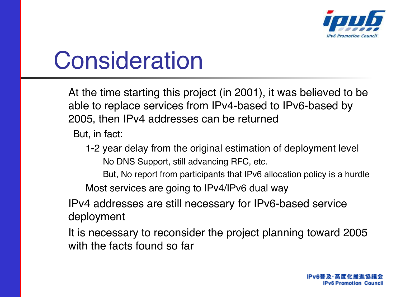

## **Consideration**

At the time starting this project (in 2001), it was believed to be able to replace services from IPv4-based to IPv6-based by 2005, then IPv4 addresses can be returned

But, in fact:

- 1-2 year delay from the original estimation of deployment level No DNS Support, still advancing RFC, etc.
	- But, No report from participants that IPv6 allocation policy is a hurdle

Most services are going to IPv4/IPv6 dual way

IPv4 addresses are still necessary for IPv6-based service deployment

It is necessary to reconsider the project planning toward 2005 with the facts found so far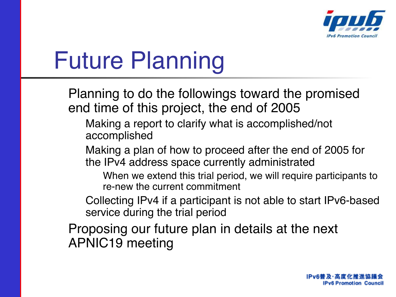

# Future Planning

Planning to do the followings toward the promised end time of this project, the end of 2005

Making a report to clarify what is accomplished/not accomplished

Making a plan of how to proceed after the end of 2005 for the IPv4 address space currently administrated

When we extend this trial period, we will require participants to re-new the current commitment

Collecting IPv4 if a participant is not able to start IPv6-based service during the trial period

Proposing our future plan in details at the next APNIC19 meeting